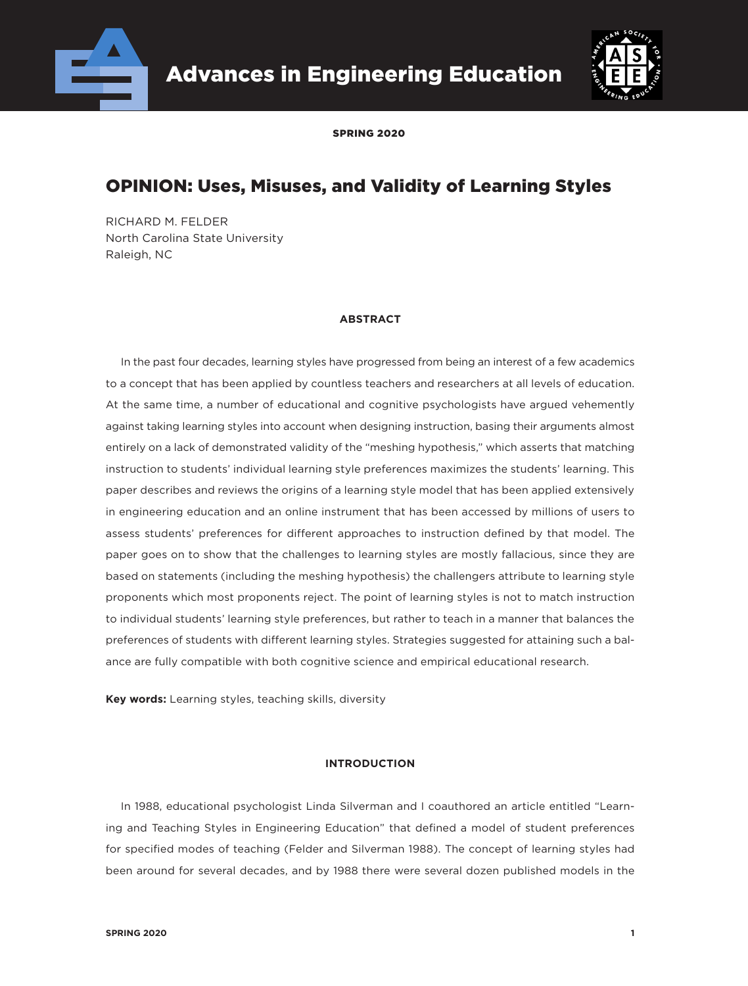



SPRING 2020

# OPINION: Uses, Misuses, and Validity of Learning Styles

RICHARD M. FELDER North Carolina State University Raleigh, NC

# **ABSTRACT**

In the past four decades, learning styles have progressed from being an interest of a few academics to a concept that has been applied by countless teachers and researchers at all levels of education. At the same time, a number of educational and cognitive psychologists have argued vehemently against taking learning styles into account when designing instruction, basing their arguments almost entirely on a lack of demonstrated validity of the "meshing hypothesis," which asserts that matching instruction to students' individual learning style preferences maximizes the students' learning. This paper describes and reviews the origins of a learning style model that has been applied extensively in engineering education and an online instrument that has been accessed by millions of users to assess students' preferences for different approaches to instruction defined by that model. The paper goes on to show that the challenges to learning styles are mostly fallacious, since they are based on statements (including the meshing hypothesis) the challengers attribute to learning style proponents which most proponents reject. The point of learning styles is not to match instruction to individual students' learning style preferences, but rather to teach in a manner that balances the preferences of students with different learning styles. Strategies suggested for attaining such a balance are fully compatible with both cognitive science and empirical educational research.

**Key words:** Learning styles, teaching skills, diversity

# **INTRODUCTION**

In 1988, educational psychologist Linda Silverman and I coauthored an article entitled "Learning and Teaching Styles in Engineering Education" that defined a model of student preferences for specified modes of teaching (Felder and Silverman 1988). The concept of learning styles had been around for several decades, and by 1988 there were several dozen published models in the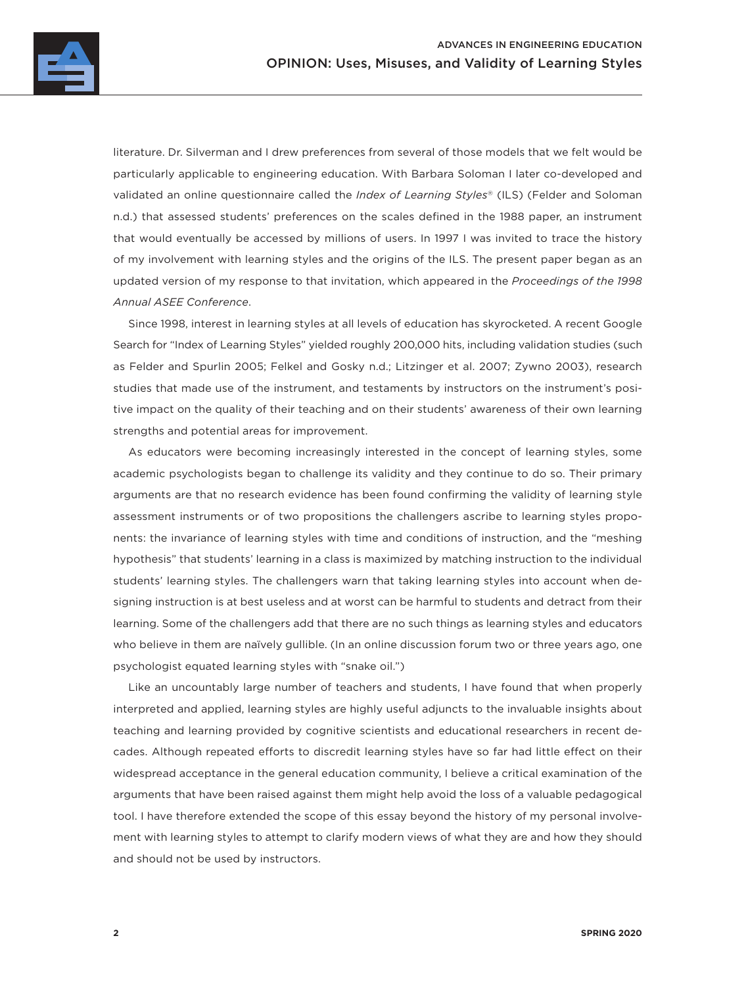

literature. Dr. Silverman and I drew preferences from several of those models that we felt would be particularly applicable to engineering education. With Barbara Soloman I later co-developed and validated an online questionnaire called the *Index of Learning Styles*® (ILS) (Felder and Soloman n.d.) that assessed students' preferences on the scales defined in the 1988 paper, an instrument that would eventually be accessed by millions of users. In 1997 I was invited to trace the history of my involvement with learning styles and the origins of the ILS. The present paper began as an updated version of my response to that invitation, which appeared in the *Proceedings of the 1998 Annual ASEE Conference*.

Since 1998, interest in learning styles at all levels of education has skyrocketed. A recent Google Search for "Index of Learning Styles" yielded roughly 200,000 hits, including validation studies (such as Felder and Spurlin 2005; Felkel and Gosky n.d.; Litzinger et al. 2007; Zywno 2003), research studies that made use of the instrument, and testaments by instructors on the instrument's positive impact on the quality of their teaching and on their students' awareness of their own learning strengths and potential areas for improvement.

As educators were becoming increasingly interested in the concept of learning styles, some academic psychologists began to challenge its validity and they continue to do so. Their primary arguments are that no research evidence has been found confirming the validity of learning style assessment instruments or of two propositions the challengers ascribe to learning styles proponents: the invariance of learning styles with time and conditions of instruction, and the "meshing hypothesis" that students' learning in a class is maximized by matching instruction to the individual students' learning styles. The challengers warn that taking learning styles into account when designing instruction is at best useless and at worst can be harmful to students and detract from their learning. Some of the challengers add that there are no such things as learning styles and educators who believe in them are naïvely gullible. (In an online discussion forum two or three years ago, one psychologist equated learning styles with "snake oil.")

Like an uncountably large number of teachers and students, I have found that when properly interpreted and applied, learning styles are highly useful adjuncts to the invaluable insights about teaching and learning provided by cognitive scientists and educational researchers in recent decades. Although repeated efforts to discredit learning styles have so far had little effect on their widespread acceptance in the general education community, I believe a critical examination of the arguments that have been raised against them might help avoid the loss of a valuable pedagogical tool. I have therefore extended the scope of this essay beyond the history of my personal involvement with learning styles to attempt to clarify modern views of what they are and how they should and should not be used by instructors.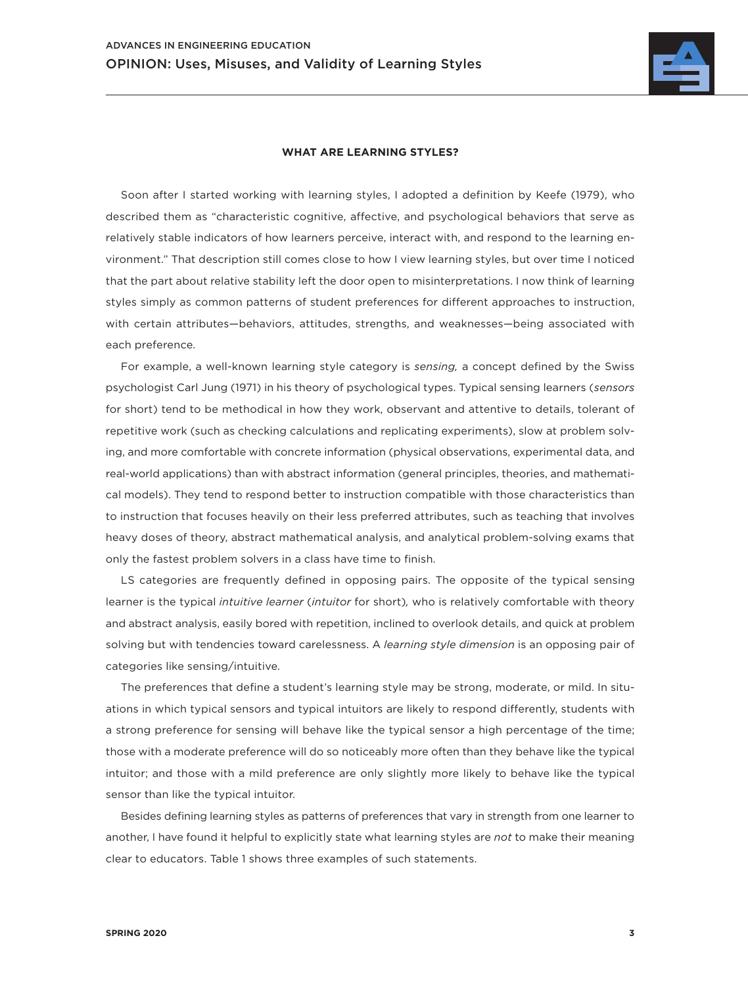

# **WHAT ARE LEARNING STYLES?**

Soon after I started working with learning styles, I adopted a definition by Keefe (1979), who described them as "characteristic cognitive, affective, and psychological behaviors that serve as relatively stable indicators of how learners perceive, interact with, and respond to the learning environment." That description still comes close to how I view learning styles, but over time I noticed that the part about relative stability left the door open to misinterpretations. I now think of learning styles simply as common patterns of student preferences for different approaches to instruction, with certain attributes—behaviors, attitudes, strengths, and weaknesses—being associated with each preference.

For example, a well-known learning style category is *sensing,* a concept defined by the Swiss psychologist Carl Jung (1971) in his theory of psychological types. Typical sensing learners (*sensors* for short) tend to be methodical in how they work, observant and attentive to details, tolerant of repetitive work (such as checking calculations and replicating experiments), slow at problem solving, and more comfortable with concrete information (physical observations, experimental data, and real-world applications) than with abstract information (general principles, theories, and mathematical models). They tend to respond better to instruction compatible with those characteristics than to instruction that focuses heavily on their less preferred attributes, such as teaching that involves heavy doses of theory, abstract mathematical analysis, and analytical problem-solving exams that only the fastest problem solvers in a class have time to finish.

LS categories are frequently defined in opposing pairs. The opposite of the typical sensing learner is the typical *intuitive learner* (*intuitor* for short)*,* who is relatively comfortable with theory and abstract analysis, easily bored with repetition, inclined to overlook details, and quick at problem solving but with tendencies toward carelessness. A *learning style dimension* is an opposing pair of categories like sensing/intuitive.

The preferences that define a student's learning style may be strong, moderate, or mild. In situations in which typical sensors and typical intuitors are likely to respond differently, students with a strong preference for sensing will behave like the typical sensor a high percentage of the time; those with a moderate preference will do so noticeably more often than they behave like the typical intuitor; and those with a mild preference are only slightly more likely to behave like the typical sensor than like the typical intuitor.

Besides defining learning styles as patterns of preferences that vary in strength from one learner to another, I have found it helpful to explicitly state what learning styles are *not* to make their meaning clear to educators. Table 1 shows three examples of such statements.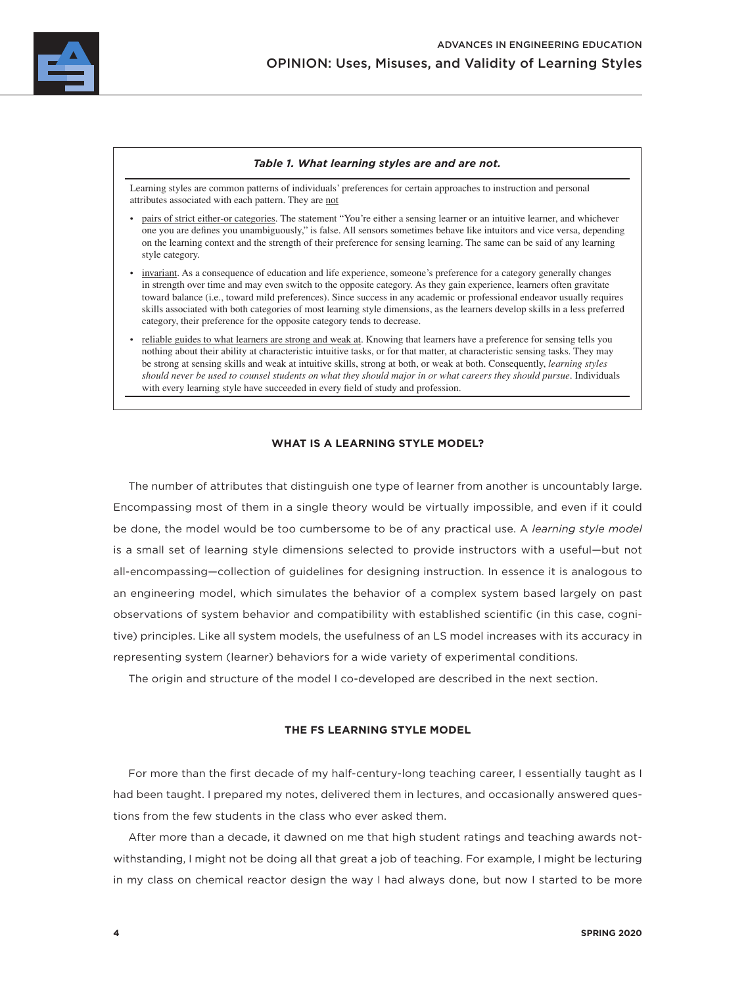

#### *Table 1. What learning styles are and are not.*

Learning styles are common patterns of individuals' preferences for certain approaches to instruction and personal attributes associated with each pattern. They are not

- pairs of strict either-or categories. The statement "You're either a sensing learner or an intuitive learner, and whichever one you are defines you unambiguously," is false. All sensors sometimes behave like intuitors and vice versa, depending on the learning context and the strength of their preference for sensing learning. The same can be said of any learning style category.
- invariant. As a consequence of education and life experience, someone's preference for a category generally changes in strength over time and may even switch to the opposite category. As they gain experience, learners often gravitate toward balance (i.e., toward mild preferences). Since success in any academic or professional endeavor usually requires skills associated with both categories of most learning style dimensions, as the learners develop skills in a less preferred category, their preference for the opposite category tends to decrease.
- reliable guides to what learners are strong and weak at. Knowing that learners have a preference for sensing tells you nothing about their ability at characteristic intuitive tasks, or for that matter, at characteristic sensing tasks. They may be strong at sensing skills and weak at intuitive skills, strong at both, or weak at both. Consequently, *learning styles should never be used to counsel students on what they should major in or what careers they should pursue*. Individuals with every learning style have succeeded in every field of study and profession.

# **WHAT IS A LEARNING STYLE MODEL?**

The number of attributes that distinguish one type of learner from another is uncountably large. Encompassing most of them in a single theory would be virtually impossible, and even if it could be done, the model would be too cumbersome to be of any practical use. A *learning style model* is a small set of learning style dimensions selected to provide instructors with a useful—but not all-encompassing—collection of guidelines for designing instruction. In essence it is analogous to an engineering model, which simulates the behavior of a complex system based largely on past observations of system behavior and compatibility with established scientific (in this case, cognitive) principles. Like all system models, the usefulness of an LS model increases with its accuracy in representing system (learner) behaviors for a wide variety of experimental conditions.

The origin and structure of the model I co-developed are described in the next section.

### **THE FS LEARNING STYLE MODEL**

For more than the first decade of my half-century-long teaching career, I essentially taught as I had been taught. I prepared my notes, delivered them in lectures, and occasionally answered questions from the few students in the class who ever asked them.

After more than a decade, it dawned on me that high student ratings and teaching awards notwithstanding, I might not be doing all that great a job of teaching. For example, I might be lecturing in my class on chemical reactor design the way I had always done, but now I started to be more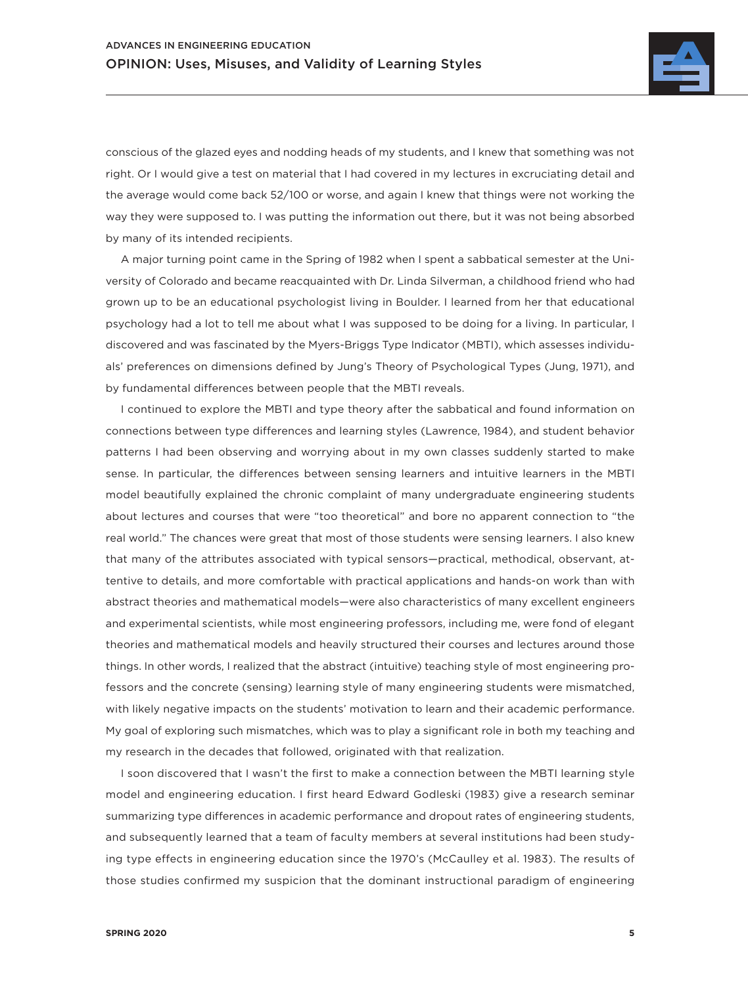

conscious of the glazed eyes and nodding heads of my students, and I knew that something was not right. Or I would give a test on material that I had covered in my lectures in excruciating detail and the average would come back 52/100 or worse, and again I knew that things were not working the way they were supposed to. I was putting the information out there, but it was not being absorbed by many of its intended recipients.

A major turning point came in the Spring of 1982 when I spent a sabbatical semester at the University of Colorado and became reacquainted with Dr. Linda Silverman, a childhood friend who had grown up to be an educational psychologist living in Boulder. I learned from her that educational psychology had a lot to tell me about what I was supposed to be doing for a living. In particular, I discovered and was fascinated by the Myers-Briggs Type Indicator (MBTI), which assesses individuals' preferences on dimensions defined by Jung's Theory of Psychological Types (Jung, 1971), and by fundamental differences between people that the MBTI reveals.

I continued to explore the MBTI and type theory after the sabbatical and found information on connections between type differences and learning styles (Lawrence, 1984), and student behavior patterns I had been observing and worrying about in my own classes suddenly started to make sense. In particular, the differences between sensing learners and intuitive learners in the MBTI model beautifully explained the chronic complaint of many undergraduate engineering students about lectures and courses that were "too theoretical" and bore no apparent connection to "the real world." The chances were great that most of those students were sensing learners. I also knew that many of the attributes associated with typical sensors—practical, methodical, observant, attentive to details, and more comfortable with practical applications and hands-on work than with abstract theories and mathematical models—were also characteristics of many excellent engineers and experimental scientists, while most engineering professors, including me, were fond of elegant theories and mathematical models and heavily structured their courses and lectures around those things. In other words, I realized that the abstract (intuitive) teaching style of most engineering professors and the concrete (sensing) learning style of many engineering students were mismatched, with likely negative impacts on the students' motivation to learn and their academic performance. My goal of exploring such mismatches, which was to play a significant role in both my teaching and my research in the decades that followed, originated with that realization.

I soon discovered that I wasn't the first to make a connection between the MBTI learning style model and engineering education. I first heard Edward Godleski (1983) give a research seminar summarizing type differences in academic performance and dropout rates of engineering students, and subsequently learned that a team of faculty members at several institutions had been studying type effects in engineering education since the 1970's (McCaulley et al. 1983). The results of those studies confirmed my suspicion that the dominant instructional paradigm of engineering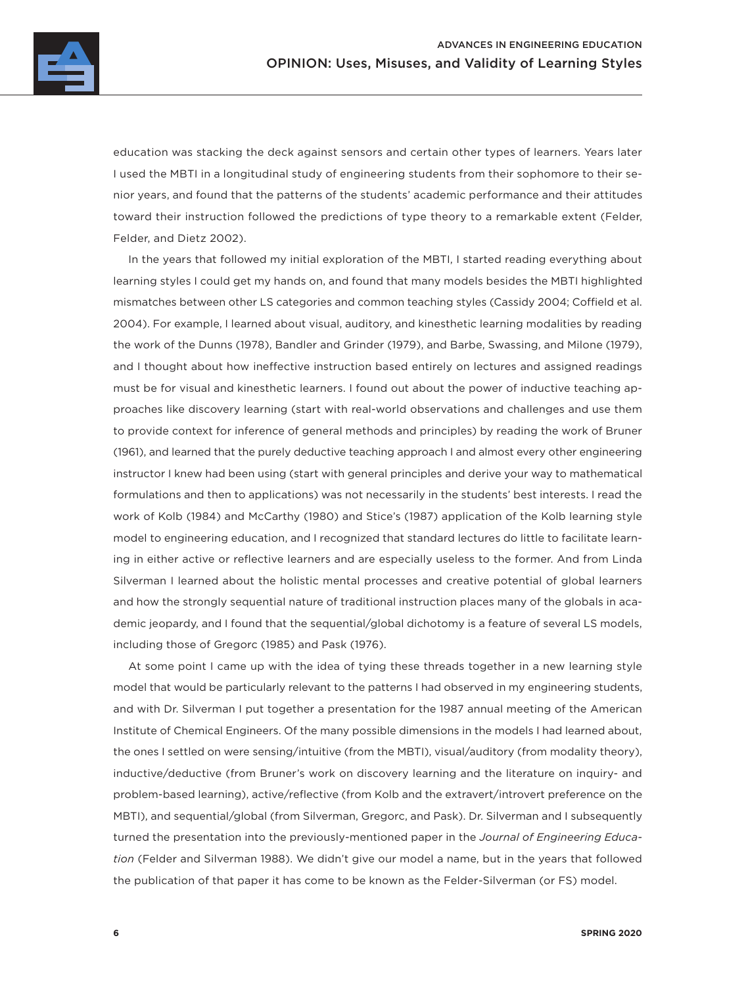

education was stacking the deck against sensors and certain other types of learners. Years later I used the MBTI in a longitudinal study of engineering students from their sophomore to their senior years, and found that the patterns of the students' academic performance and their attitudes toward their instruction followed the predictions of type theory to a remarkable extent (Felder, Felder, and Dietz 2002).

In the years that followed my initial exploration of the MBTI, I started reading everything about learning styles I could get my hands on, and found that many models besides the MBTI highlighted mismatches between other LS categories and common teaching styles (Cassidy 2004; Coffield et al. 2004). For example, I learned about visual, auditory, and kinesthetic learning modalities by reading the work of the Dunns (1978), Bandler and Grinder (1979), and Barbe, Swassing, and Milone (1979), and I thought about how ineffective instruction based entirely on lectures and assigned readings must be for visual and kinesthetic learners. I found out about the power of inductive teaching approaches like discovery learning (start with real-world observations and challenges and use them to provide context for inference of general methods and principles) by reading the work of Bruner (1961), and learned that the purely deductive teaching approach I and almost every other engineering instructor I knew had been using (start with general principles and derive your way to mathematical formulations and then to applications) was not necessarily in the students' best interests. I read the work of Kolb (1984) and McCarthy (1980) and Stice's (1987) application of the Kolb learning style model to engineering education, and I recognized that standard lectures do little to facilitate learning in either active or reflective learners and are especially useless to the former. And from Linda Silverman I learned about the holistic mental processes and creative potential of global learners and how the strongly sequential nature of traditional instruction places many of the globals in academic jeopardy, and I found that the sequential/global dichotomy is a feature of several LS models, including those of Gregorc (1985) and Pask (1976).

At some point I came up with the idea of tying these threads together in a new learning style model that would be particularly relevant to the patterns I had observed in my engineering students, and with Dr. Silverman I put together a presentation for the 1987 annual meeting of the American Institute of Chemical Engineers. Of the many possible dimensions in the models I had learned about, the ones I settled on were sensing/intuitive (from the MBTI), visual/auditory (from modality theory), inductive/deductive (from Bruner's work on discovery learning and the literature on inquiry- and problem-based learning), active/reflective (from Kolb and the extravert/introvert preference on the MBTI), and sequential/global (from Silverman, Gregorc, and Pask). Dr. Silverman and I subsequently turned the presentation into the previously-mentioned paper in the *Journal of Engineering Education* (Felder and Silverman 1988). We didn't give our model a name, but in the years that followed the publication of that paper it has come to be known as the Felder-Silverman (or FS) model.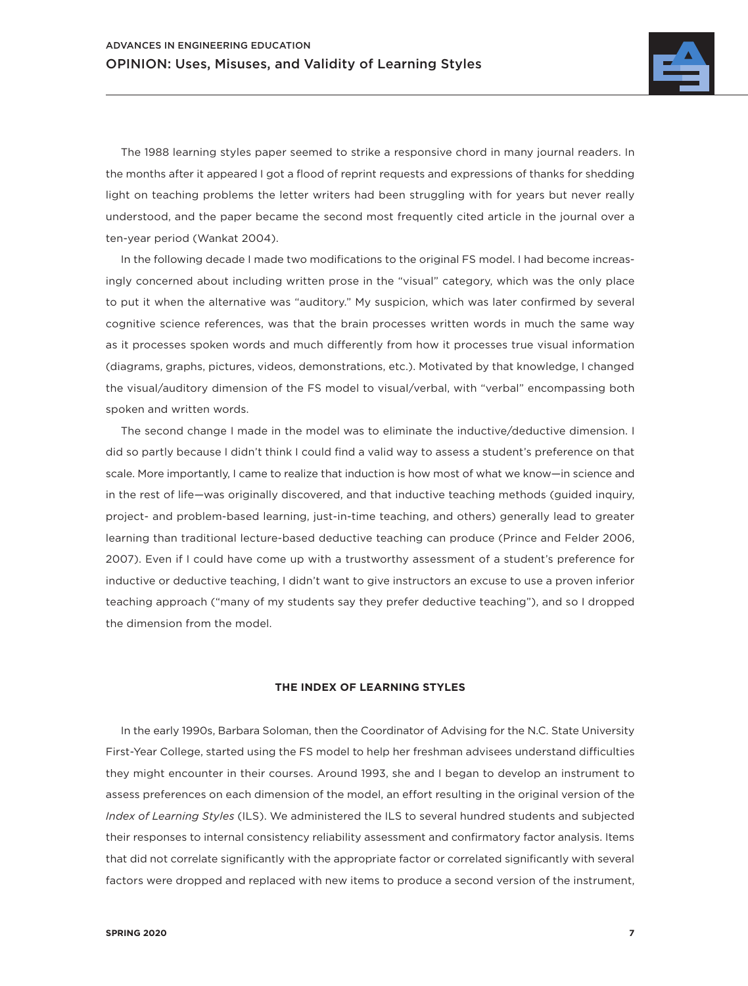

The 1988 learning styles paper seemed to strike a responsive chord in many journal readers. In the months after it appeared I got a flood of reprint requests and expressions of thanks for shedding light on teaching problems the letter writers had been struggling with for years but never really understood, and the paper became the second most frequently cited article in the journal over a ten-year period (Wankat 2004).

In the following decade I made two modifications to the original FS model. I had become increasingly concerned about including written prose in the "visual" category, which was the only place to put it when the alternative was "auditory." My suspicion, which was later confirmed by several cognitive science references, was that the brain processes written words in much the same way as it processes spoken words and much differently from how it processes true visual information (diagrams, graphs, pictures, videos, demonstrations, etc.). Motivated by that knowledge, I changed the visual/auditory dimension of the FS model to visual/verbal, with "verbal" encompassing both spoken and written words.

The second change I made in the model was to eliminate the inductive/deductive dimension. I did so partly because I didn't think I could find a valid way to assess a student's preference on that scale. More importantly, I came to realize that induction is how most of what we know—in science and in the rest of life—was originally discovered, and that inductive teaching methods (guided inquiry, project- and problem-based learning, just-in-time teaching, and others) generally lead to greater learning than traditional lecture-based deductive teaching can produce (Prince and Felder 2006, 2007). Even if I could have come up with a trustworthy assessment of a student's preference for inductive or deductive teaching, I didn't want to give instructors an excuse to use a proven inferior teaching approach ("many of my students say they prefer deductive teaching"), and so I dropped the dimension from the model.

#### **THE INDEX OF LEARNING STYLES**

In the early 1990s, Barbara Soloman, then the Coordinator of Advising for the N.C. State University First-Year College, started using the FS model to help her freshman advisees understand difficulties they might encounter in their courses. Around 1993, she and I began to develop an instrument to assess preferences on each dimension of the model, an effort resulting in the original version of the *Index of Learning Styles* (ILS). We administered the ILS to several hundred students and subjected their responses to internal consistency reliability assessment and confirmatory factor analysis. Items that did not correlate significantly with the appropriate factor or correlated significantly with several factors were dropped and replaced with new items to produce a second version of the instrument,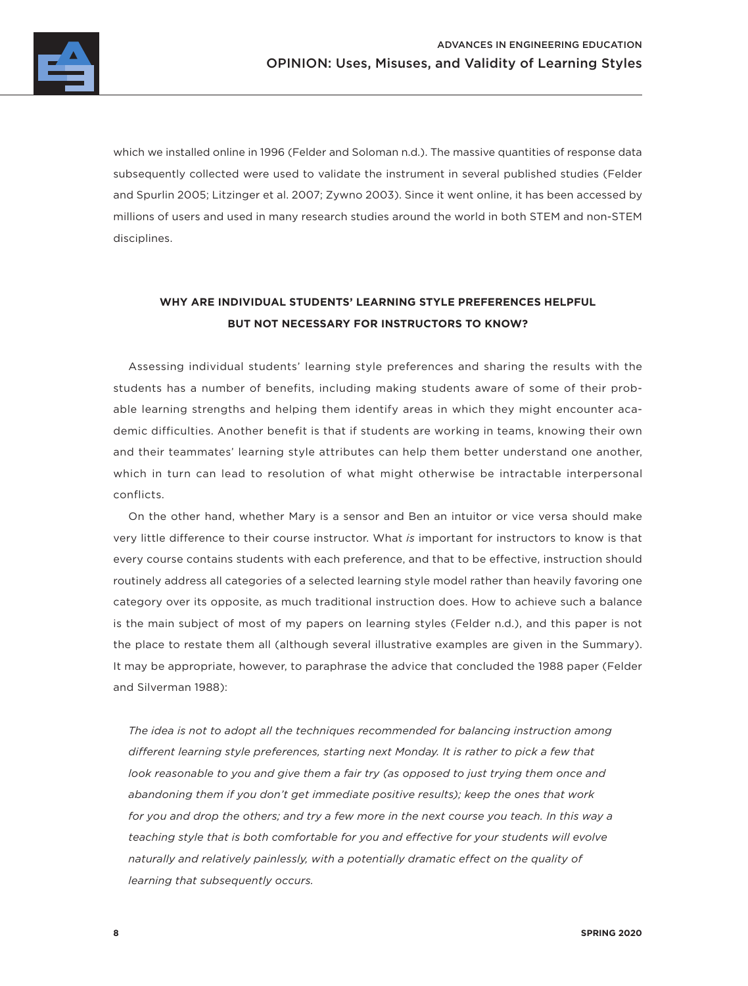which we installed online in 1996 (Felder and Soloman n.d.). The massive quantities of response data subsequently collected were used to validate the instrument in several published studies (Felder and Spurlin 2005; Litzinger et al. 2007; Zywno 2003). Since it went online, it has been accessed by millions of users and used in many research studies around the world in both STEM and non-STEM disciplines.

# **WHY ARE INDIVIDUAL STUDENTS' LEARNING STYLE PREFERENCES HELPFUL BUT NOT NECESSARY FOR INSTRUCTORS TO KNOW?**

Assessing individual students' learning style preferences and sharing the results with the students has a number of benefits, including making students aware of some of their probable learning strengths and helping them identify areas in which they might encounter academic difficulties. Another benefit is that if students are working in teams, knowing their own and their teammates' learning style attributes can help them better understand one another, which in turn can lead to resolution of what might otherwise be intractable interpersonal conflicts.

On the other hand, whether Mary is a sensor and Ben an intuitor or vice versa should make very little difference to their course instructor. What *is* important for instructors to know is that every course contains students with each preference, and that to be effective, instruction should routinely address all categories of a selected learning style model rather than heavily favoring one category over its opposite, as much traditional instruction does. How to achieve such a balance is the main subject of most of my papers on learning styles (Felder n.d.), and this paper is not the place to restate them all (although several illustrative examples are given in the Summary). It may be appropriate, however, to paraphrase the advice that concluded the 1988 paper (Felder and Silverman 1988):

*The idea is not to adopt all the techniques recommended for balancing instruction among different learning style preferences, starting next Monday. It is rather to pick a few that look reasonable to you and give them a fair try (as opposed to just trying them once and abandoning them if you don't get immediate positive results); keep the ones that work for you and drop the others; and try a few more in the next course you teach. In this way a teaching style that is both comfortable for you and effective for your students will evolve naturally and relatively painlessly, with a potentially dramatic effect on the quality of learning that subsequently occurs.*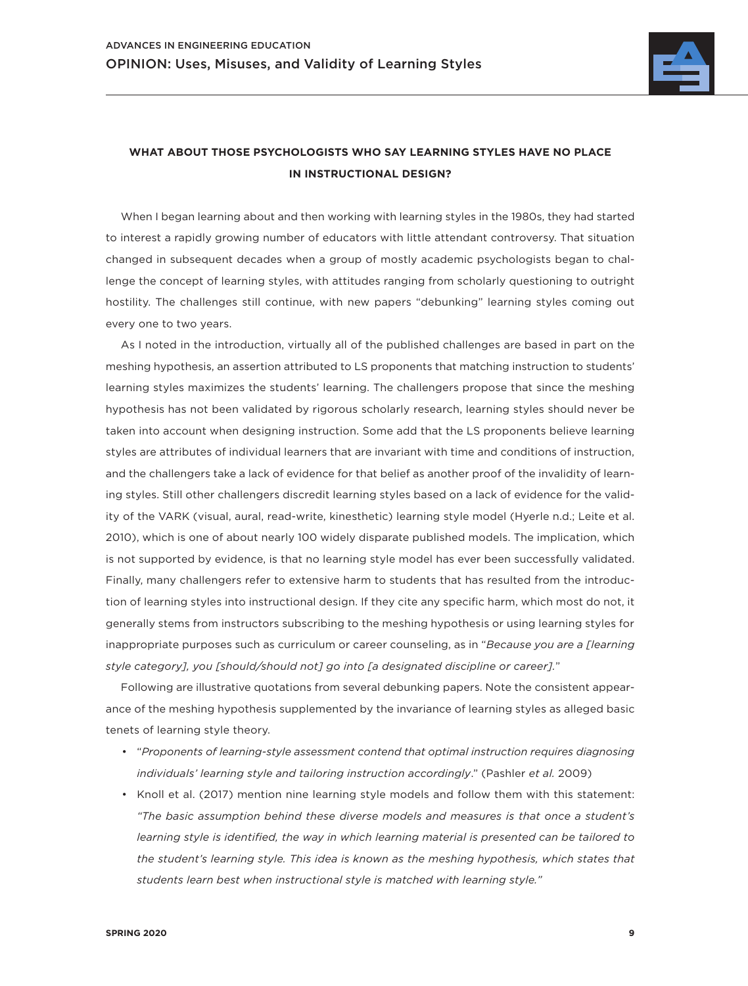

# **WHAT ABOUT THOSE PSYCHOLOGISTS WHO SAY LEARNING STYLES HAVE NO PLACE IN INSTRUCTIONAL DESIGN?**

When I began learning about and then working with learning styles in the 1980s, they had started to interest a rapidly growing number of educators with little attendant controversy. That situation changed in subsequent decades when a group of mostly academic psychologists began to challenge the concept of learning styles, with attitudes ranging from scholarly questioning to outright hostility. The challenges still continue, with new papers "debunking" learning styles coming out every one to two years.

As I noted in the introduction, virtually all of the published challenges are based in part on the meshing hypothesis, an assertion attributed to LS proponents that matching instruction to students' learning styles maximizes the students' learning. The challengers propose that since the meshing hypothesis has not been validated by rigorous scholarly research, learning styles should never be taken into account when designing instruction. Some add that the LS proponents believe learning styles are attributes of individual learners that are invariant with time and conditions of instruction, and the challengers take a lack of evidence for that belief as another proof of the invalidity of learning styles. Still other challengers discredit learning styles based on a lack of evidence for the validity of the VARK (visual, aural, read-write, kinesthetic) learning style model (Hyerle n.d.; Leite et al. 2010), which is one of about nearly 100 widely disparate published models. The implication, which is not supported by evidence, is that no learning style model has ever been successfully validated. Finally, many challengers refer to extensive harm to students that has resulted from the introduction of learning styles into instructional design. If they cite any specific harm, which most do not, it generally stems from instructors subscribing to the meshing hypothesis or using learning styles for inappropriate purposes such as curriculum or career counseling, as in "*Because you are a [learning style category], you [should/should not] go into [a designated discipline or career].*"

Following are illustrative quotations from several debunking papers. Note the consistent appearance of the meshing hypothesis supplemented by the invariance of learning styles as alleged basic tenets of learning style theory.

- "*Proponents of learning-style assessment contend that optimal instruction requires diagnosing individuals' learning style and tailoring instruction accordingly*." (Pashler *et al.* 2009)
- Knoll et al. (2017) mention nine learning style models and follow them with this statement: *"The basic assumption behind these diverse models and measures is that once a student's learning style is identified, the way in which learning material is presented can be tailored to the student's learning style. This idea is known as the meshing hypothesis, which states that students learn best when instructional style is matched with learning style."*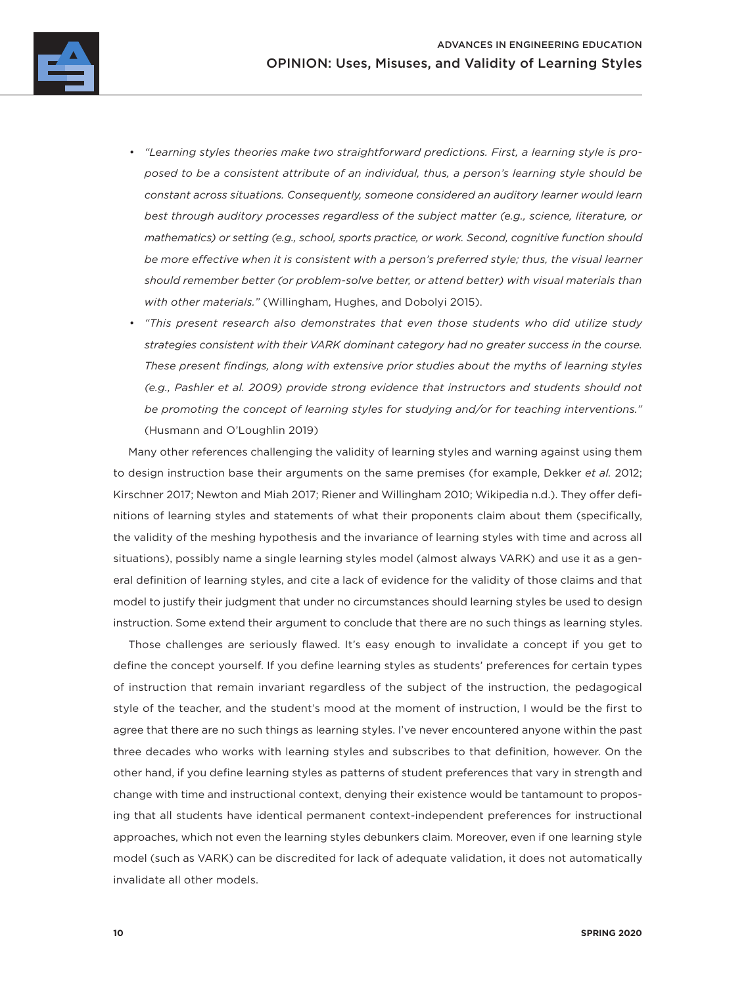

- *"Learning styles theories make two straightforward predictions. First, a learning style is proposed to be a consistent attribute of an individual, thus, a person's learning style should be constant across situations. Consequently, someone considered an auditory learner would learn best through auditory processes regardless of the subject matter (e.g., science, literature, or mathematics) or setting (e.g., school, sports practice, or work. Second, cognitive function should*  be more effective when it is consistent with a person's preferred style; thus, the visual learner *should remember better (or problem-solve better, or attend better) with visual materials than with other materials."* (Willingham, Hughes, and Dobolyi 2015).
- *"This present research also demonstrates that even those students who did utilize study strategies consistent with their VARK dominant category had no greater success in the course. These present findings, along with extensive prior studies about the myths of learning styles (e.g., Pashler et al. 2009) provide strong evidence that instructors and students should not be promoting the concept of learning styles for studying and/or for teaching interventions."* (Husmann and O'Loughlin 2019)

Many other references challenging the validity of learning styles and warning against using them to design instruction base their arguments on the same premises (for example, Dekker *et al.* 2012; Kirschner 2017; Newton and Miah 2017; Riener and Willingham 2010; Wikipedia n.d.). They offer definitions of learning styles and statements of what their proponents claim about them (specifically, the validity of the meshing hypothesis and the invariance of learning styles with time and across all situations), possibly name a single learning styles model (almost always VARK) and use it as a general definition of learning styles, and cite a lack of evidence for the validity of those claims and that model to justify their judgment that under no circumstances should learning styles be used to design instruction. Some extend their argument to conclude that there are no such things as learning styles.

Those challenges are seriously flawed. It's easy enough to invalidate a concept if you get to define the concept yourself. If you define learning styles as students' preferences for certain types of instruction that remain invariant regardless of the subject of the instruction, the pedagogical style of the teacher, and the student's mood at the moment of instruction, I would be the first to agree that there are no such things as learning styles. I've never encountered anyone within the past three decades who works with learning styles and subscribes to that definition, however. On the other hand, if you define learning styles as patterns of student preferences that vary in strength and change with time and instructional context, denying their existence would be tantamount to proposing that all students have identical permanent context-independent preferences for instructional approaches, which not even the learning styles debunkers claim. Moreover, even if one learning style model (such as VARK) can be discredited for lack of adequate validation, it does not automatically invalidate all other models.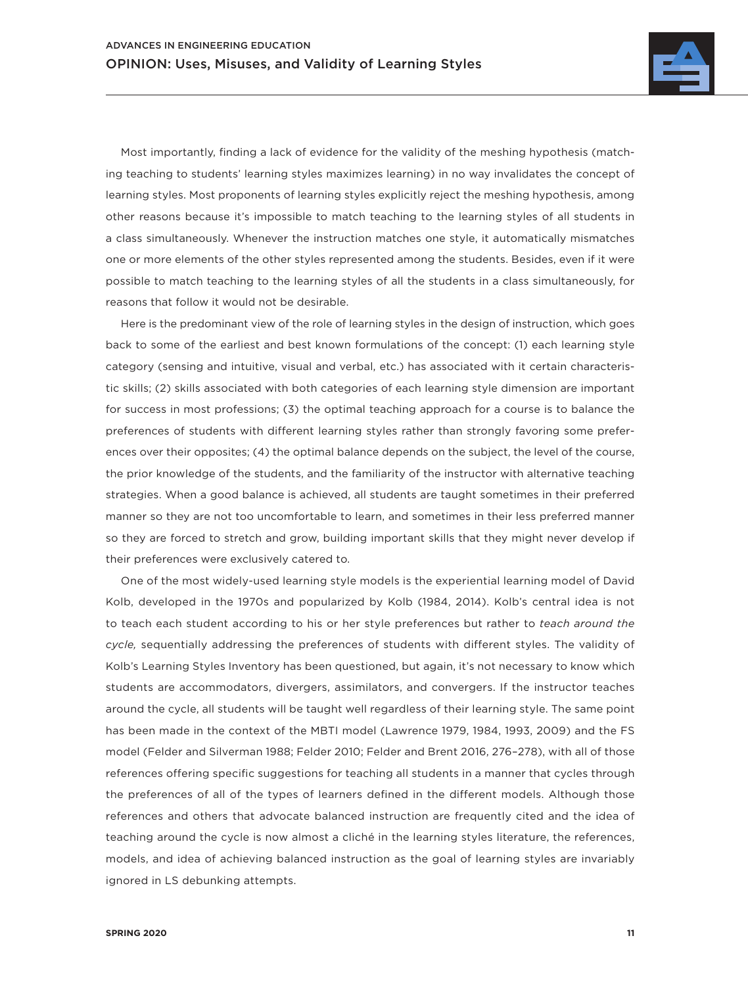

Most importantly, finding a lack of evidence for the validity of the meshing hypothesis (matching teaching to students' learning styles maximizes learning) in no way invalidates the concept of learning styles. Most proponents of learning styles explicitly reject the meshing hypothesis, among other reasons because it's impossible to match teaching to the learning styles of all students in a class simultaneously. Whenever the instruction matches one style, it automatically mismatches one or more elements of the other styles represented among the students. Besides, even if it were possible to match teaching to the learning styles of all the students in a class simultaneously, for reasons that follow it would not be desirable.

Here is the predominant view of the role of learning styles in the design of instruction, which goes back to some of the earliest and best known formulations of the concept: (1) each learning style category (sensing and intuitive, visual and verbal, etc.) has associated with it certain characteristic skills; (2) skills associated with both categories of each learning style dimension are important for success in most professions; (3) the optimal teaching approach for a course is to balance the preferences of students with different learning styles rather than strongly favoring some preferences over their opposites; (4) the optimal balance depends on the subject, the level of the course, the prior knowledge of the students, and the familiarity of the instructor with alternative teaching strategies. When a good balance is achieved, all students are taught sometimes in their preferred manner so they are not too uncomfortable to learn, and sometimes in their less preferred manner so they are forced to stretch and grow, building important skills that they might never develop if their preferences were exclusively catered to.

One of the most widely-used learning style models is the experiential learning model of David Kolb, developed in the 1970s and popularized by Kolb (1984, 2014). Kolb's central idea is not to teach each student according to his or her style preferences but rather to *teach around the cycle,* sequentially addressing the preferences of students with different styles. The validity of Kolb's Learning Styles Inventory has been questioned, but again, it's not necessary to know which students are accommodators, divergers, assimilators, and convergers. If the instructor teaches around the cycle, all students will be taught well regardless of their learning style. The same point has been made in the context of the MBTI model (Lawrence 1979, 1984, 1993, 2009) and the FS model (Felder and Silverman 1988; Felder 2010; Felder and Brent 2016, 276–278), with all of those references offering specific suggestions for teaching all students in a manner that cycles through the preferences of all of the types of learners defined in the different models. Although those references and others that advocate balanced instruction are frequently cited and the idea of teaching around the cycle is now almost a cliché in the learning styles literature, the references, models, and idea of achieving balanced instruction as the goal of learning styles are invariably ignored in LS debunking attempts.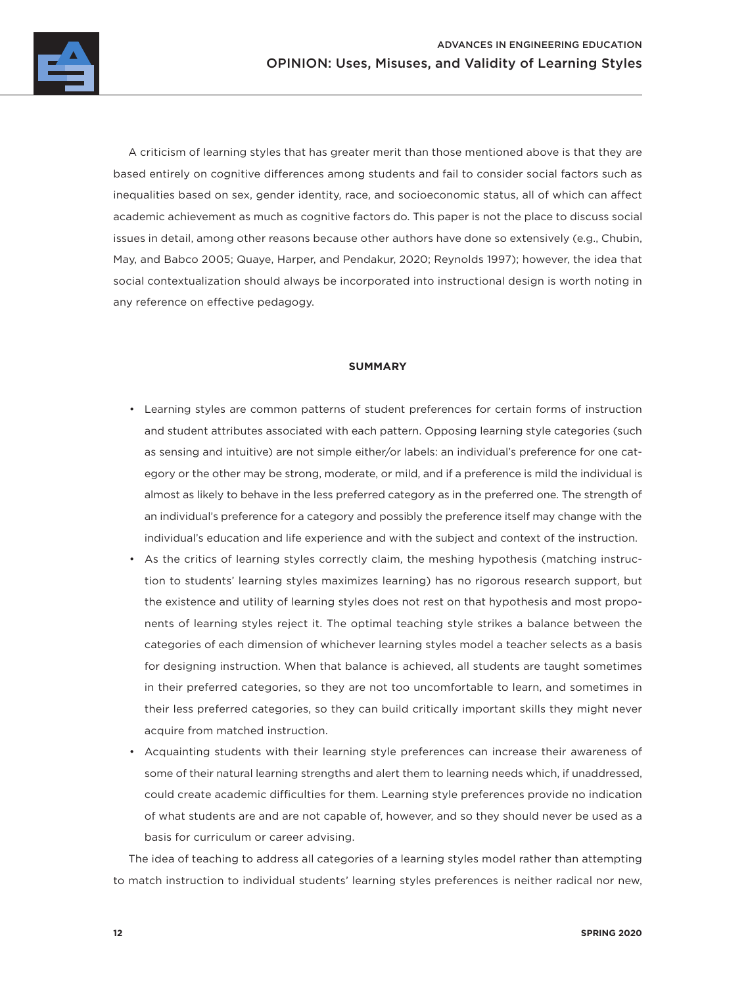

A criticism of learning styles that has greater merit than those mentioned above is that they are based entirely on cognitive differences among students and fail to consider social factors such as inequalities based on sex, gender identity, race, and socioeconomic status, all of which can affect academic achievement as much as cognitive factors do. This paper is not the place to discuss social issues in detail, among other reasons because other authors have done so extensively (e.g., Chubin, May, and Babco 2005; Quaye, Harper, and Pendakur, 2020; Reynolds 1997); however, the idea that social contextualization should always be incorporated into instructional design is worth noting in any reference on effective pedagogy.

#### **SUMMARY**

- Learning styles are common patterns of student preferences for certain forms of instruction and student attributes associated with each pattern. Opposing learning style categories (such as sensing and intuitive) are not simple either/or labels: an individual's preference for one category or the other may be strong, moderate, or mild, and if a preference is mild the individual is almost as likely to behave in the less preferred category as in the preferred one. The strength of an individual's preference for a category and possibly the preference itself may change with the individual's education and life experience and with the subject and context of the instruction.
- As the critics of learning styles correctly claim, the meshing hypothesis (matching instruction to students' learning styles maximizes learning) has no rigorous research support, but the existence and utility of learning styles does not rest on that hypothesis and most proponents of learning styles reject it. The optimal teaching style strikes a balance between the categories of each dimension of whichever learning styles model a teacher selects as a basis for designing instruction. When that balance is achieved, all students are taught sometimes in their preferred categories, so they are not too uncomfortable to learn, and sometimes in their less preferred categories, so they can build critically important skills they might never acquire from matched instruction.
- Acquainting students with their learning style preferences can increase their awareness of some of their natural learning strengths and alert them to learning needs which, if unaddressed, could create academic difficulties for them. Learning style preferences provide no indication of what students are and are not capable of, however, and so they should never be used as a basis for curriculum or career advising.

The idea of teaching to address all categories of a learning styles model rather than attempting to match instruction to individual students' learning styles preferences is neither radical nor new,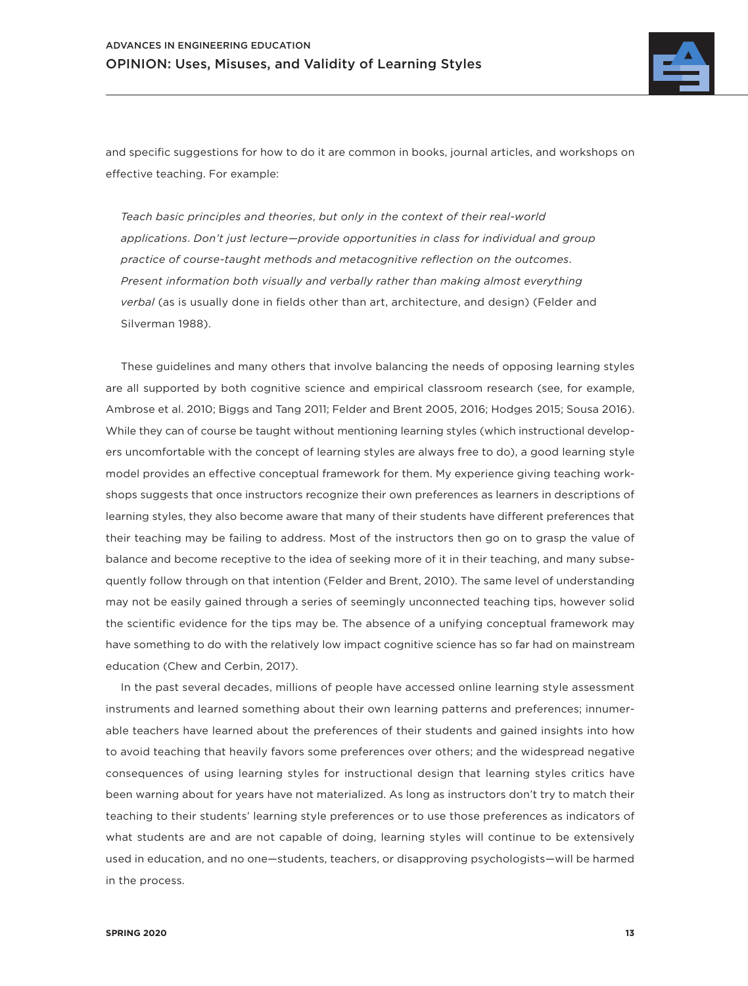

and specific suggestions for how to do it are common in books, journal articles, and workshops on effective teaching. For example:

*Teach basic principles and theories*, *but only in the context of their real-world applications*. *Don't just lecture—provide opportunities in class for individual and group practice of course-taught methods and metacognitive reflection on the outcomes*. *Present information both visually and verbally rather than making almost everything verbal* (as is usually done in fields other than art, architecture, and design) (Felder and Silverman 1988).

These guidelines and many others that involve balancing the needs of opposing learning styles are all supported by both cognitive science and empirical classroom research (see, for example, Ambrose et al. 2010; Biggs and Tang 2011; Felder and Brent 2005, 2016; Hodges 2015; Sousa 2016). While they can of course be taught without mentioning learning styles (which instructional developers uncomfortable with the concept of learning styles are always free to do), a good learning style model provides an effective conceptual framework for them. My experience giving teaching workshops suggests that once instructors recognize their own preferences as learners in descriptions of learning styles, they also become aware that many of their students have different preferences that their teaching may be failing to address. Most of the instructors then go on to grasp the value of balance and become receptive to the idea of seeking more of it in their teaching, and many subsequently follow through on that intention (Felder and Brent, 2010). The same level of understanding may not be easily gained through a series of seemingly unconnected teaching tips, however solid the scientific evidence for the tips may be. The absence of a unifying conceptual framework may have something to do with the relatively low impact cognitive science has so far had on mainstream education (Chew and Cerbin, 2017).

In the past several decades, millions of people have accessed online learning style assessment instruments and learned something about their own learning patterns and preferences; innumerable teachers have learned about the preferences of their students and gained insights into how to avoid teaching that heavily favors some preferences over others; and the widespread negative consequences of using learning styles for instructional design that learning styles critics have been warning about for years have not materialized. As long as instructors don't try to match their teaching to their students' learning style preferences or to use those preferences as indicators of what students are and are not capable of doing, learning styles will continue to be extensively used in education, and no one—students, teachers, or disapproving psychologists—will be harmed in the process.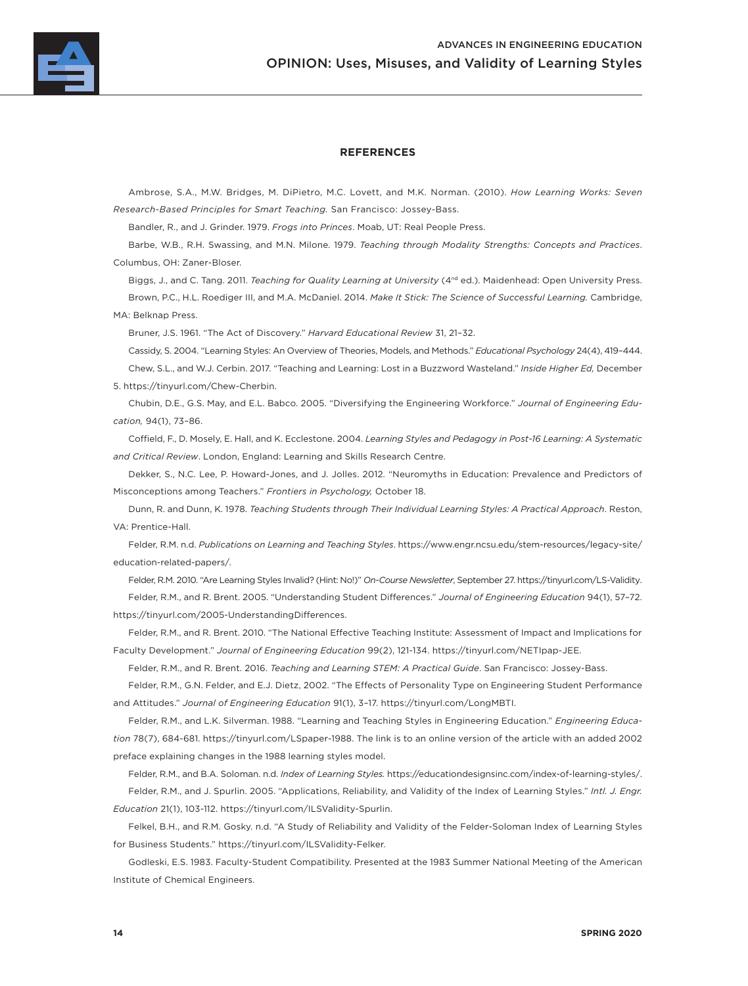

### **REFERENCES**

Ambrose, S.A., M.W. Bridges, M. DiPietro, M.C. Lovett, and M.K. Norman. (2010). *How Learning Works: Seven Research-Based Principles for Smart Teaching.* San Francisco: Jossey-Bass.

Bandler, R., and J. Grinder. 1979. *Frogs into Princes*. Moab, UT: Real People Press.

Barbe, W.B., R.H. Swassing, and M.N. Milone. 1979. *Teaching through Modality Strengths: Concepts and Practices*. Columbus, OH: Zaner-Bloser.

Biggs, J., and C. Tang. 2011. *Teaching for Quality Learning at University* (4<sup>nd</sup> ed.). Maidenhead: Open University Press. Brown, P.C., H.L. Roediger III, and M.A. McDaniel. 2014. *Make It Stick: The Science of Successful Learning.* Cambridge, MA: Belknap Press.

Bruner, J.S. 1961. "The Act of Discovery." *Harvard Educational Review* 31, 21–32.

Cassidy, S. 2004. "Learning Styles: An Overview of Theories, Models, and Methods." *Educational Psychology* 24(4), 419–444. Chew, S.L., and W.J. Cerbin. 2017. "Teaching and Learning: Lost in a Buzzword Wasteland." *Inside Higher Ed,* December 5. https://tinyurl.com/Chew-Cherbin.

Chubin, D.E., G.S. May, and E.L. Babco. 2005. "Diversifying the Engineering Workforce." *Journal of Engineering Education,* 94(1), 73–86.

Coffield, F., D. Mosely, E. Hall, and K. Ecclestone. 2004. *Learning Styles and Pedagogy in Post-16 Learning: A Systematic and Critical Review*. London, England: Learning and Skills Research Centre.

Dekker, S., N.C. Lee, P. Howard-Jones, and J. Jolles. 2012. "Neuromyths in Education: Prevalence and Predictors of Misconceptions among Teachers." *Frontiers in Psychology,* October 18.

Dunn, R. and Dunn, K. 1978. *Teaching Students through Their Individual Learning Styles: A Practical Approach*. Reston, VA: Prentice-Hall.

Felder, R.M. n.d. *Publications on Learning and Teaching Styles*. https://www.engr.ncsu.edu/stem-resources/legacy-site/ education-related-papers/.

Felder, R.M. 2010. "Are Learning Styles Invalid? (Hint: No!)" *On-Course Newsletter*, September 27. https://tinyurl.com/LS-Validity.

Felder, R.M., and R. Brent. 2005. "Understanding Student Differences." *Journal of Engineering Education* 94(1), 57–72. https://tinyurl.com/2005-UnderstandingDifferences.

Felder, R.M., and R. Brent. 2010. "The National Effective Teaching Institute: Assessment of Impact and Implications for Faculty Development." *Journal of Engineering Education* 99(2), 121-134. https://tinyurl.com/NETIpap-JEE.

Felder, R.M., and R. Brent. 2016. *Teaching and Learning STEM: A Practical Guide*. San Francisco: Jossey-Bass.

Felder, R.M., G.N. Felder, and E.J. Dietz, 2002. "The Effects of Personality Type on Engineering Student Performance and Attitudes." *Journal of Engineering Education* 91(1), 3–17. https://tinyurl.com/LongMBTI.

Felder, R.M., and L.K. Silverman. 1988. "Learning and Teaching Styles in Engineering Education." *Engineering Education* 78(7), 684-681. https://tinyurl.com/LSpaper-1988. The link is to an online version of the article with an added 2002 preface explaining changes in the 1988 learning styles model.

Felder, R.M., and B.A. Soloman. n.d. *Index of Learning Styles.* https://educationdesignsinc.com/index-of-learning-styles/. Felder, R.M., and J. Spurlin. 2005. "Applications, Reliability, and Validity of the Index of Learning Styles." *Intl. J. Engr. Education* 21(1), 103-112. https://tinyurl.com/ILSValidity-Spurlin.

Felkel, B.H., and R.M. Gosky. n.d. "A Study of Reliability and Validity of the Felder-Soloman Index of Learning Styles for Business Students." https://tinyurl.com/ILSValidity-Felker.

Godleski, E.S. 1983. Faculty-Student Compatibility. Presented at the 1983 Summer National Meeting of the American Institute of Chemical Engineers.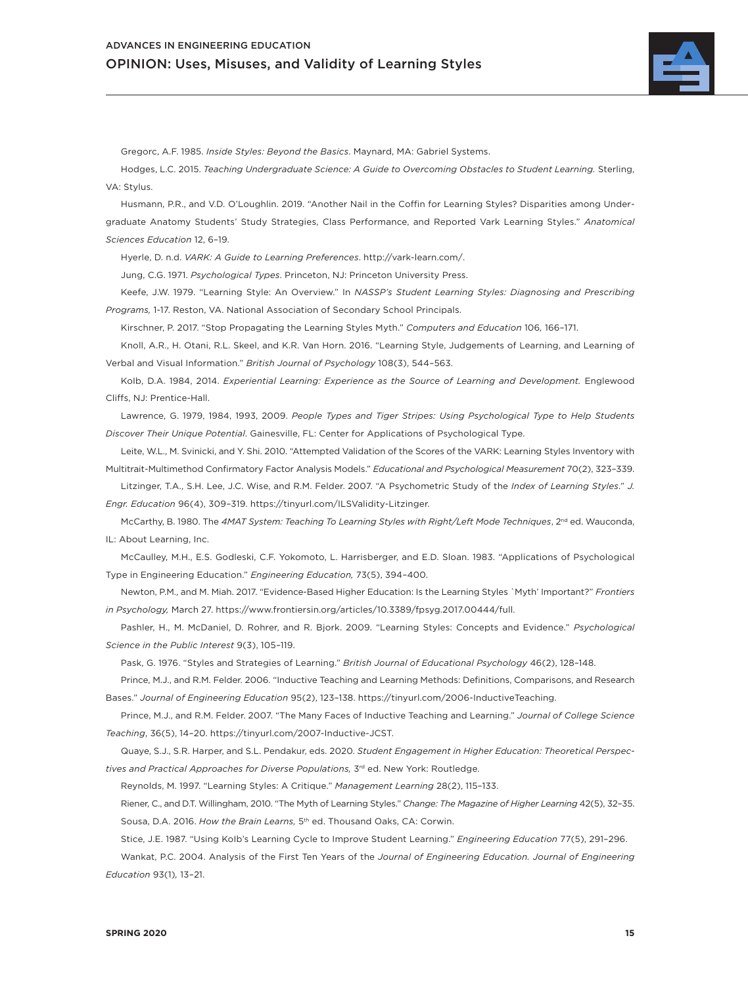

Gregorc, A.F. 1985. *Inside Styles: Beyond the Basics*. Maynard, MA: Gabriel Systems.

Hodges, L.C. 2015. *Teaching Undergraduate Science: A Guide to Overcoming Obstacles to Student Learning.* Sterling, VA: Stylus.

Husmann, P.R., and V.D. O'Loughlin. 2019. "Another Nail in the Coffin for Learning Styles? Disparities among Undergraduate Anatomy Students' Study Strategies, Class Performance, and Reported Vark Learning Styles." *Anatomical Sciences Education* 12, 6–19.

Hyerle, D. n.d. *VARK: A Guide to Learning Preferences*. http://vark-learn.com/.

Jung, C.G. 1971. *Psychological Types*. Princeton, NJ: Princeton University Press.

Keefe, J.W. 1979. "Learning Style: An Overview." In *NASSP's Student Learning Styles: Diagnosing and Prescribing Programs,* 1-17. Reston, VA. National Association of Secondary School Principals.

Kirschner, P. 2017. "Stop Propagating the Learning Styles Myth." *Computers and Education* 106*,* 166–171.

Knoll, A.R., H. Otani, R.L. Skeel, and K.R. Van Horn. 2016. "Learning Style, Judgements of Learning, and Learning of Verbal and Visual Information." *British Journal of Psychology* 108(3), 544–563.

KoIb, D.A. 1984, 2014. *Experiential Learning: Experience as the Source of Learning and Development.* Englewood Cliffs, NJ: Prentice-Hall.

Lawrence, G. 1979, 1984, 1993, 2009. *People Types and Tiger Stripes: Using Psychological Type to Help Students Discover Their Unique Potential*. Gainesville, FL: Center for Applications of Psychological Type.

Leite, W.L., M. Svinicki, and Y. Shi. 2010. "Attempted Validation of the Scores of the VARK: Learning Styles Inventory with Multitrait-Multimethod Confirmatory Factor Analysis Models." *Educational and Psychological Measurement* 70(2), 323–339.

Litzinger, T.A., S.H. Lee, J.C. Wise, and R.M. Felder. 2007. "A Psychometric Study of the *Index of Learning Styles*." *J. Engr. Education* 96(4), 309–319. https://tinyurl.com/ILSValidity-Litzinger.

McCarthy, B. 1980. The 4MAT System: Teaching To Learning Styles with Right/Left Mode Techniques, 2<sup>nd</sup> ed. Wauconda, IL: About Learning, Inc.

McCaulley, M.H., E.S. Godleski, C.F. Yokomoto, L. Harrisberger, and E.D. Sloan. 1983. "Applications of Psychological Type in Engineering Education." *Engineering Education,* 73(5), 394–400.

Newton, P.M., and M. Miah. 2017. "Evidence-Based Higher Education: Is the Learning Styles `Myth' Important?" *Frontiers in Psychology,* March 27. https://www.frontiersin.org/articles/10.3389/fpsyg.2017.00444/full.

Pashler, H., M. McDaniel, D. Rohrer, and R. Bjork. 2009. "Learning Styles: Concepts and Evidence." *Psychological Science in the Public Interest* 9(3), 105–119.

Pask, G. 1976. "Styles and Strategies of Learning." *British Journal of Educational Psychology* 46(2), 128–148.

Prince, M.J., and R.M. Felder. 2006. "Inductive Teaching and Learning Methods: Definitions, Comparisons, and Research Bases." *Journal of Engineering Education* 95(2), 123–138. https://tinyurl.com/2006-InductiveTeaching.

Prince, M.J., and R.M. Felder. 2007. "The Many Faces of Inductive Teaching and Learning." *Journal of College Science Teaching*, 36(5), 14–20. https://tinyurl.com/2007-Inductive-JCST.

Quaye, S.J., S.R. Harper, and S.L. Pendakur, eds. 2020. *Student Engagement in Higher Education: Theoretical Perspectives and Practical Approaches for Diverse Populations,* 3rd ed. New York: Routledge.

Reynolds, M. 1997. "Learning Styles: A Critique." *Management Learning* 28(2), 115–133.

Riener, C., and D.T. Willingham, 2010. "The Myth of Learning Styles." *Change: The Magazine of Higher Learning* 42(5), 32–35. Sousa, D.A. 2016. *How the Brain Learns,* 5th ed. Thousand Oaks, CA: Corwin.

Stice, J.E. 1987. "Using KoIb's Learning Cycle to Improve Student Learning." *Engineering Education* 77(5), 291–296.

Wankat, P.C. 2004. Analysis of the First Ten Years of the *Journal of Engineering Education. Journal of Engineering Education* 93(1)*,* 13–21.